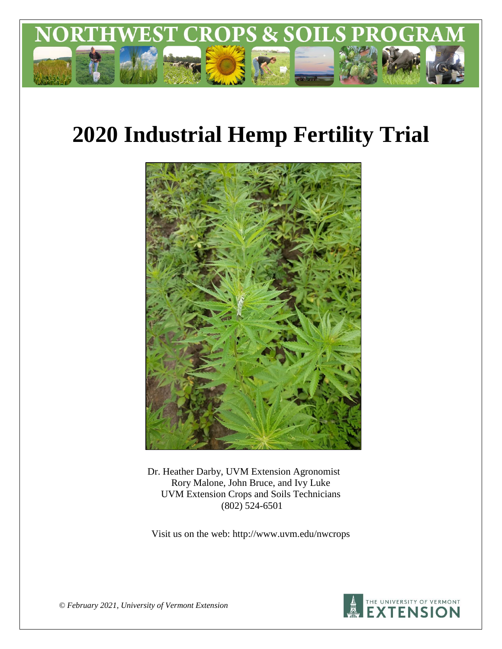

# **2020 Industrial Hemp Fertility Trial**



Dr. Heather Darby, UVM Extension Agronomist Rory Malone, John Bruce, and Ivy Luke UVM Extension Crops and Soils Technicians (802) 524-6501

Visit us on the web: http://www.uvm.edu/nwcrops



*© February 2021, University of Vermont Extension*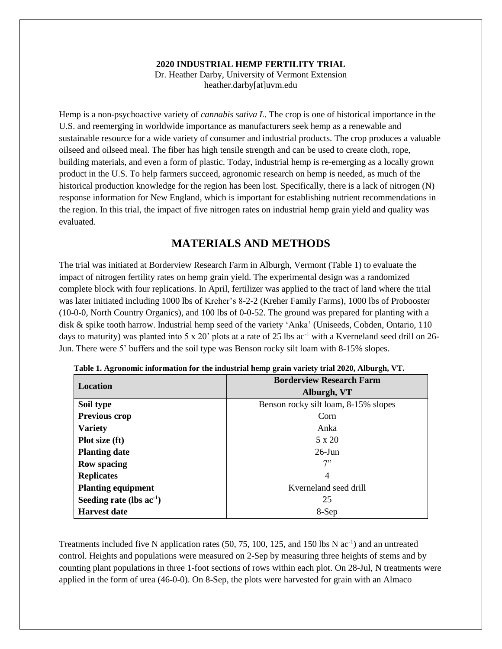#### **2020 INDUSTRIAL HEMP FERTILITY TRIAL**

Dr. Heather Darby, University of Vermont Extension heather.darby[at]uvm.edu

Hemp is a non-psychoactive variety of *cannabis sativa L*. The crop is one of historical importance in the U.S. and reemerging in worldwide importance as manufacturers seek hemp as a renewable and sustainable resource for a wide variety of consumer and industrial products. The crop produces a valuable oilseed and oilseed meal. The fiber has high tensile strength and can be used to create cloth, rope, building materials, and even a form of plastic. Today, industrial hemp is re-emerging as a locally grown product in the U.S. To help farmers succeed, agronomic research on hemp is needed, as much of the historical production knowledge for the region has been lost. Specifically, there is a lack of nitrogen (N) response information for New England, which is important for establishing nutrient recommendations in the region. In this trial, the impact of five nitrogen rates on industrial hemp grain yield and quality was evaluated.

### **MATERIALS AND METHODS**

The trial was initiated at Borderview Research Farm in Alburgh, Vermont (Table 1) to evaluate the impact of nitrogen fertility rates on hemp grain yield. The experimental design was a randomized complete block with four replications. In April, fertilizer was applied to the tract of land where the trial was later initiated including 1000 lbs of Kreher's 8-2-2 (Kreher Family Farms), 1000 lbs of Probooster (10-0-0, North Country Organics), and 100 lbs of 0-0-52. The ground was prepared for planting with a disk & spike tooth harrow. Industrial hemp seed of the variety 'Anka' (Uniseeds, Cobden, Ontario, 110 days to maturity) was planted into 5 x 20' plots at a rate of 25 lbs  $ac^{-1}$  with a Kverneland seed drill on 26-Jun. There were 5' buffers and the soil type was Benson rocky silt loam with 8-15% slopes.

| Location                      | <b>Borderview Research Farm</b>      |  |  |
|-------------------------------|--------------------------------------|--|--|
|                               | Alburgh, VT                          |  |  |
| Soil type                     | Benson rocky silt loam, 8-15% slopes |  |  |
| <b>Previous crop</b>          | Corn                                 |  |  |
| <b>Variety</b>                | Anka                                 |  |  |
| Plot size (ft)                | 5 x 20                               |  |  |
| <b>Planting date</b>          | $26$ -Jun                            |  |  |
| <b>Row spacing</b>            | 7"                                   |  |  |
| <b>Replicates</b>             | 4                                    |  |  |
| <b>Planting equipment</b>     | Kverneland seed drill                |  |  |
| Seeding rate (lbs $ac^{-1}$ ) | 25                                   |  |  |
| <b>Harvest date</b>           | 8-Sep                                |  |  |

**Table 1. Agronomic information for the industrial hemp grain variety trial 2020, Alburgh, VT.**

Treatments included five N application rates  $(50, 75, 100, 125,$  and 150 lbs N  $ac^{-1}$ ) and an untreated control. Heights and populations were measured on 2-Sep by measuring three heights of stems and by counting plant populations in three 1-foot sections of rows within each plot. On 28-Jul, N treatments were applied in the form of urea (46-0-0). On 8-Sep, the plots were harvested for grain with an Almaco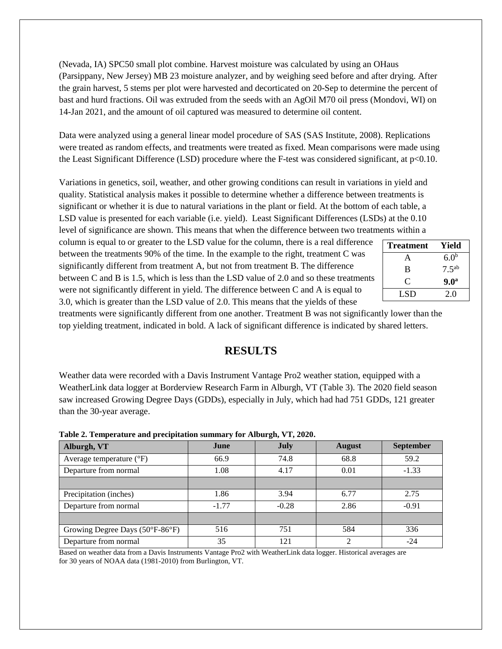(Nevada, IA) SPC50 small plot combine. Harvest moisture was calculated by using an OHaus (Parsippany, New Jersey) MB 23 moisture analyzer, and by weighing seed before and after drying. After the grain harvest, 5 stems per plot were harvested and decorticated on 20-Sep to determine the percent of bast and hurd fractions. Oil was extruded from the seeds with an AgOil M70 oil press (Mondovi, WI) on 14-Jan 2021, and the amount of oil captured was measured to determine oil content.

Data were analyzed using a general linear model procedure of SAS (SAS Institute, 2008). Replications were treated as random effects, and treatments were treated as fixed. Mean comparisons were made using the Least Significant Difference (LSD) procedure where the F-test was considered significant, at p<0.10.

Variations in genetics, soil, weather, and other growing conditions can result in variations in yield and quality. Statistical analysis makes it possible to determine whether a difference between treatments is significant or whether it is due to natural variations in the plant or field. At the bottom of each table, a LSD value is presented for each variable (i.e. yield). Least Significant Differences (LSDs) at the 0.10 level of significance are shown. This means that when the difference between two treatments within a

column is equal to or greater to the LSD value for the column, there is a real difference between the treatments 90% of the time. In the example to the right, treatment C was significantly different from treatment A, but not from treatment B. The difference between C and B is 1.5, which is less than the LSD value of 2.0 and so these treatments were not significantly different in yield. The difference between C and A is equal to 3.0, which is greater than the LSD value of 2.0. This means that the yields of these

| <b>Treatment</b> | Yield            |
|------------------|------------------|
| А                | 6.0 <sup>b</sup> |
| B                | $7.5^{ab}$       |
| C                | 9.0 <sup>a</sup> |
| LSD              | 2.0              |

treatments were significantly different from one another. Treatment B was not significantly lower than the top yielding treatment, indicated in bold. A lack of significant difference is indicated by shared letters.

## **RESULTS**

Weather data were recorded with a Davis Instrument Vantage Pro2 weather station, equipped with a WeatherLink data logger at Borderview Research Farm in Alburgh, VT (Table 3). The 2020 field season saw increased Growing Degree Days (GDDs), especially in July, which had had 751 GDDs, 121 greater than the 30-year average.

| Alburgh, VT                       | June    | <b>July</b> | <b>August</b> | <b>September</b> |  |
|-----------------------------------|---------|-------------|---------------|------------------|--|
| Average temperature $(^{\circ}F)$ | 66.9    | 74.8        | 68.8          | 59.2             |  |
| Departure from normal             | 1.08    | 4.17        | 0.01          | $-1.33$          |  |
|                                   |         |             |               |                  |  |
| Precipitation (inches)            | 1.86    | 3.94        | 6.77          | 2.75             |  |
| Departure from normal             | $-1.77$ | $-0.28$     | 2.86          | $-0.91$          |  |
|                                   |         |             |               |                  |  |
| Growing Degree Days (50°F-86°F)   | 516     | 751         | 584           | 336              |  |
| Departure from normal             | 35      | 121         |               | $-24$            |  |

**Table 2. Temperature and precipitation summary for Alburgh, VT, 2020.**

Based on weather data from a Davis Instruments Vantage Pro2 with WeatherLink data logger. Historical averages are for 30 years of NOAA data (1981-2010) from Burlington, VT.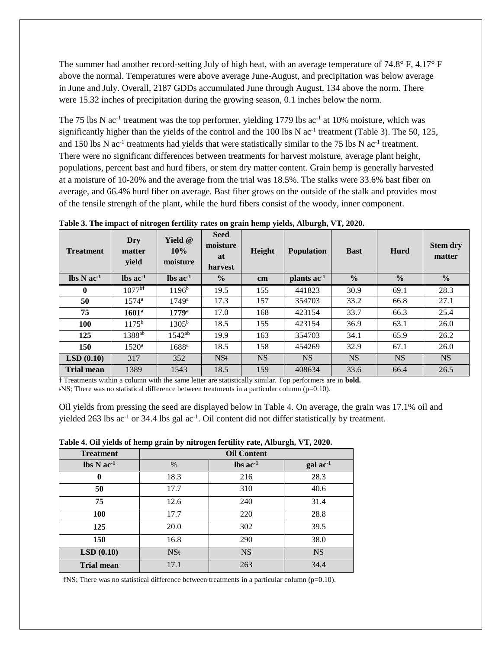The summer had another record-setting July of high heat, with an average temperature of 74.8° F, 4.17° F above the normal. Temperatures were above average June-August, and precipitation was below average in June and July. Overall, 2187 GDDs accumulated June through August, 134 above the norm. There were 15.32 inches of precipitation during the growing season, 0.1 inches below the norm.

The 75 lbs N  $ac^{-1}$  treatment was the top performer, yielding 1779 lbs  $ac^{-1}$  at 10% moisture, which was significantly higher than the yields of the control and the  $100$  lbs N ac<sup>-1</sup> treatment (Table 3). The 50, 125, and 150 lbs N  $ac^{-1}$  treatments had yields that were statistically similar to the 75 lbs N  $ac^{-1}$  treatment. There were no significant differences between treatments for harvest moisture, average plant height, populations, percent bast and hurd fibers, or stem dry matter content. Grain hemp is generally harvested at a moisture of 10-20% and the average from the trial was 18.5%. The stalks were 33.6% bast fiber on average, and 66.4% hurd fiber on average. Bast fiber grows on the outside of the stalk and provides most of the tensile strength of the plant, while the hurd fibers consist of the woody, inner component.

| <b>Treatment</b>                        | Dry<br>matter<br>yield | Yield $@$<br>10%<br>moisture  | <b>Seed</b><br>moisture<br>at<br>harvest | Height    | <b>Population</b>      | <b>Bast</b>   | Hurd          | <b>Stem dry</b><br>matter |
|-----------------------------------------|------------------------|-------------------------------|------------------------------------------|-----------|------------------------|---------------|---------------|---------------------------|
| $\text{lbs} \, \text{N} \, \text{ac}^1$ | $\ln$ ac <sup>1</sup>  | $\text{lbs}$ ac <sup>-1</sup> | $\frac{6}{6}$                            | cm        | plants ac <sup>1</sup> | $\frac{0}{0}$ | $\frac{0}{0}$ | $\frac{0}{0}$             |
| $\mathbf{0}$                            | $1077^{b}$             | $1196^b$                      | 19.5                                     | 155       | 441823                 | 30.9          | 69.1          | 28.3                      |
| 50                                      | $1574^{\rm a}$         | $1749$ <sup>a</sup>           | 17.3                                     | 157       | 354703                 | 33.2          | 66.8          | 27.1                      |
| 75                                      | 1601 <sup>a</sup>      | $1779^{\rm a}$                | 17.0                                     | 168       | 423154                 | 33.7          | 66.3          | 25.4                      |
| <b>100</b>                              | $1175^{\rm b}$         | $1305^{\rm b}$                | 18.5                                     | 155       | 423154                 | 36.9          | 63.1          | 26.0                      |
| 125                                     | 1388 <sup>ab</sup>     | $1542^{ab}$                   | 19.9                                     | 163       | 354703                 | 34.1          | 65.9          | 26.2                      |
| 150                                     | $1520^{\rm a}$         | 1688 <sup>a</sup>             | 18.5                                     | 158       | 454269                 | 32.9          | 67.1          | 26.0                      |
| LSD(0.10)                               | 317                    | 352                           | NSt                                      | <b>NS</b> | <b>NS</b>              | <b>NS</b>     | <b>NS</b>     | <b>NS</b>                 |
| <b>Trial mean</b>                       | 1389                   | 1543                          | 18.5                                     | 159       | 408634                 | 33.6          | 66.4          | 26.5                      |

**Table 3. The impact of nitrogen fertility rates on grain hemp yields, Alburgh, VT, 2020.** 

ϯ Treatments within a column with the same letter are statistically similar. Top performers are in **bold.**  $NSS$ ; There was no statistical difference between treatments in a particular column (p=0.10).

Oil yields from pressing the seed are displayed below in Table 4. On average, the grain was 17.1% oil and

|  |  |  | yielded 263 lbs ac <sup>-1</sup> or 34.4 lbs gal ac <sup>-1</sup> . Oil content did not differ statistically by treatment. |
|--|--|--|----------------------------------------------------------------------------------------------------------------------------|
|--|--|--|----------------------------------------------------------------------------------------------------------------------------|

| Table 4. Oil yields of hemp grain by nitrogen fertility rate, Alburgh, VT, 2020. |
|----------------------------------------------------------------------------------|
|                                                                                  |

| <b>Treatment</b>                           | <b>Oil Content</b> |                               |                            |  |
|--------------------------------------------|--------------------|-------------------------------|----------------------------|--|
| $\text{lbs} \, \text{N} \, \text{ac}^{-1}$ | $\%$               | $\text{lbs}$ ac <sup>-1</sup> | $\rm gal$ ac <sup>-1</sup> |  |
| 0                                          | 18.3               | 216                           | 28.3                       |  |
| 50                                         | 17.7               | 310                           | 40.6                       |  |
| 75                                         | 12.6               | 240                           | 31.4                       |  |
| <b>100</b>                                 | 17.7               | 220                           | 28.8                       |  |
| 125                                        | 20.0               | 302                           | 39.5                       |  |
| 150                                        | 16.8               | 290                           | 38.0                       |  |
| LSD(0.10)                                  | NSt                | <b>NS</b>                     | <b>NS</b>                  |  |
| <b>Trial mean</b>                          | 17.1               | 263                           | 34.4                       |  |

 $f$ NS; There was no statistical difference between treatments in a particular column ( $p=0.10$ ).